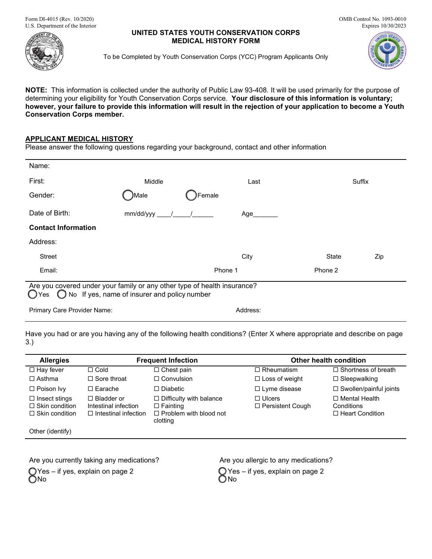Form DI-4015 (Rev. 10/2020) U.S. Department of the Interior

## **UNITED STATES YOUTH CONSERVATION CORPS MEDICAL HISTORY FORM**

OMB Control No. 1093-0010 Expires 10/30/2023



To be Completed by Youth Conservation Corps (YCC) Program Applicants Only



**NOTE:** This information is collected under the authority of Public Law 93-408. It will be used primarily for the purpose of determining your eligibility for Youth Conservation Corps service. **Your disclosure of this information is voluntary; however, your failure to provide this information will result in the rejection of your application to become a Youth Conservation Corps member.**

## **APPLICANT MEDICAL HISTORY**

Please answer the following questions regarding your background, contact and other information

| Name:                                                                                                                                     |           |         |          |              |        |
|-------------------------------------------------------------------------------------------------------------------------------------------|-----------|---------|----------|--------------|--------|
| First:                                                                                                                                    | Middle    |         | Last     |              | Suffix |
| Gender:                                                                                                                                   | )Male     | Female  |          |              |        |
| Date of Birth:                                                                                                                            | mm/dd/yyy |         | Age      |              |        |
| <b>Contact Information</b>                                                                                                                |           |         |          |              |        |
| Address:                                                                                                                                  |           |         |          |              |        |
| <b>Street</b>                                                                                                                             |           |         | City     | <b>State</b> | Zip    |
| Email:                                                                                                                                    |           | Phone 1 |          | Phone 2      |        |
| Are you covered under your family or any other type of health insurance?<br>No If yes, name of insurer and policy number<br>$\bigcap$ Yes |           |         |          |              |        |
| <b>Primary Care Provider Name:</b>                                                                                                        |           |         | Address: |              |        |

Have you had or are you having any of the following health conditions? (Enter X where appropriate and describe on page 3.)

| <b>Allergies</b>                                                       | <b>Frequent Infection</b>                                                |                                                                                                | <b>Other health condition</b>            |                                                              |  |
|------------------------------------------------------------------------|--------------------------------------------------------------------------|------------------------------------------------------------------------------------------------|------------------------------------------|--------------------------------------------------------------|--|
| $\Box$ Hay fever                                                       | $\Box$ Cold                                                              | $\Box$ Chest pain                                                                              | $\Box$ Rheumatism                        | $\Box$ Shortness of breath                                   |  |
| $\Box$ Asthma                                                          | $\Box$ Sore throat                                                       | $\Box$ Convulsion                                                                              | $\Box$ Loss of weight                    | $\Box$ Sleepwalking                                          |  |
| $\Box$ Poison Ivy                                                      | $\Box$ Earache                                                           | $\square$ Diabetic                                                                             | $\Box$ Lyme disease                      | □ Swollen/painful joints                                     |  |
| $\Box$ Insect stings<br>$\Box$ Skin condition<br>$\Box$ Skin condition | $\Box$ Bladder or<br>Intestinal infection<br>$\Box$ Intestinal infection | $\Box$ Difficulty with balance<br>$\Box$ Fainting<br>$\Box$ Problem with blood not<br>clotting | $\Box$ Ulcers<br>$\Box$ Persistent Cough | $\Box$ Mental Health<br>Conditions<br>$\Box$ Heart Condition |  |
| Other (identify)                                                       |                                                                          |                                                                                                |                                          |                                                              |  |

Are you currently taking any medications? Are you allergic to any medications? Yes – if yes, explain on page 2 ONo

 $\bigcirc$  Yes – if yes, explain on page 2 ONo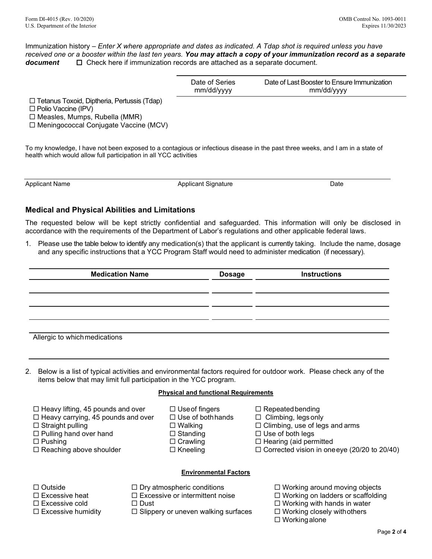Immunization history – *Enter X where appropriate and dates as indicated. A Tdap shot is required unless you have received one or a booster within the last ten years. You may attach a copy of your immunization record as a separate document* □ Check here if immunization records are attached as a separate document.

| Date of Series | Date of Last Booster to Ensure Immunization |
|----------------|---------------------------------------------|
| mm/dd/yyyy     | mm/dd/yyyy                                  |

□ Tetanus Toxoid, Diptheria, Pertussis (Tdap)

□ Polio Vaccine (IPV)

 $\Box$  Measles, Mumps, Rubella (MMR)

□ Meningococcal Conjugate Vaccine (MCV)

To my knowledge, I have not been exposed to a contagious or infectious disease in the past three weeks, and I am in a state of health which would allow full participation in all YCC activities

Applicant Name **Applicant Signature** Applicant Signature Applicant Signature **Applicant** Signature **Applicant** Signature **Date** 

# **Medical and Physical Abilities and Limitations**

The requested below will be kept strictly confidential and safeguarded. This information will only be disclosed in accordance with the requirements of the Department of Labor's regulations and other applicable federal laws.

1. Please use the table below to identify any medication(s) that the applicant is currently taking. Include the name, dosage and any specific instructions that a YCC Program Staff would need to administer medication (if necessary).

| <b>Medication Name</b>        | <b>Dosage</b> | <b>Instructions</b> |
|-------------------------------|---------------|---------------------|
|                               |               |                     |
|                               |               |                     |
|                               |               |                     |
|                               |               |                     |
| Allergic to which medications |               |                     |

2. Below is a list of typical activities and environmental factors required for outdoor work. Please check any of the items below that may limit full participation in the YCC program.

## **Physical and functional Requirements**

| $\Box$ Heavy lifting, 45 pounds and over  |
|-------------------------------------------|
| $\Box$ Heavy carrying, 45 pounds and over |

Pulling hand over hand Standing Use of both legs

- 
- 
- 
- 
- 
- 
- $\Box$  Use of fingers  $\Box$  Repeated bending
- $\Box$  Use of both hands  $\Box$  Climbing, legs only
- □ Straight pulling □ Nalking □ Walking □ Climbing, use of legs and arms
	-
	-
- Pushing Crawling Hearing (aid permitted  $\Box$  Corrected vision in oneeye (20/20 to 20/40)

## **Environmental Factors**

- 
- 

- 
- 
- $\square$  Excessive humidity  $\square$  Slippery or uneven walking surfaces  $\square$  Working closely with others
- $\Box$  Outside  $\Box$  Dry atmospheric conditions  $\Box$  Working around moving objects
- $\square$  Excessive heat  $\square$  Excessive or intermittent noise  $\square$  Working on ladders or scaffolding
- $\square$  Excessive cold  $\square$  Dust  $\square$  Dust  $\square$  Working with hands in water
	- $\square$  Working alone
		-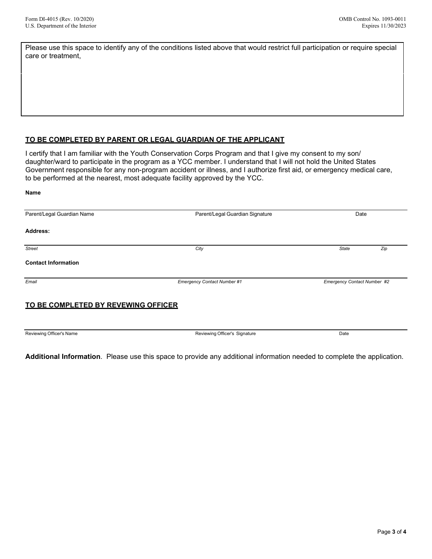Please use this space to identify any of the conditions listed above that would restrict full participation or require special care or treatment,

## **TO BE COMPLETED BY PARENT OR LEGAL GUARDIAN OF THE APPLICANT**

I certify that I am familiar with the Youth Conservation Corps Program and that I give my consent to my son/ daughter/ward to participate in the program as a YCC member. I understand that I will not hold the United States Government responsible for any non-program accident or illness, and I authorize first aid, or emergency medical care, to be performed at the nearest, most adequate facility approved by the YCC.

| Name                                |                                 |                             |     |
|-------------------------------------|---------------------------------|-----------------------------|-----|
| Parent/Legal Guardian Name          | Parent/Legal Guardian Signature | Date                        |     |
| Address:                            |                                 |                             |     |
| <b>Street</b>                       | City                            | <b>State</b>                | Zip |
| <b>Contact Information</b>          |                                 |                             |     |
| Email                               | Emergency Contact Number #1     | Emergency Contact Number #2 |     |
| TO BE COMPLETED BY REVEWING OFFICER |                                 |                             |     |
| Reviewing Officer's Name            | Reviewing Officer's Signature   | Date                        |     |

**Additional Information**. Please use this space to provide any additional information needed to complete the application.